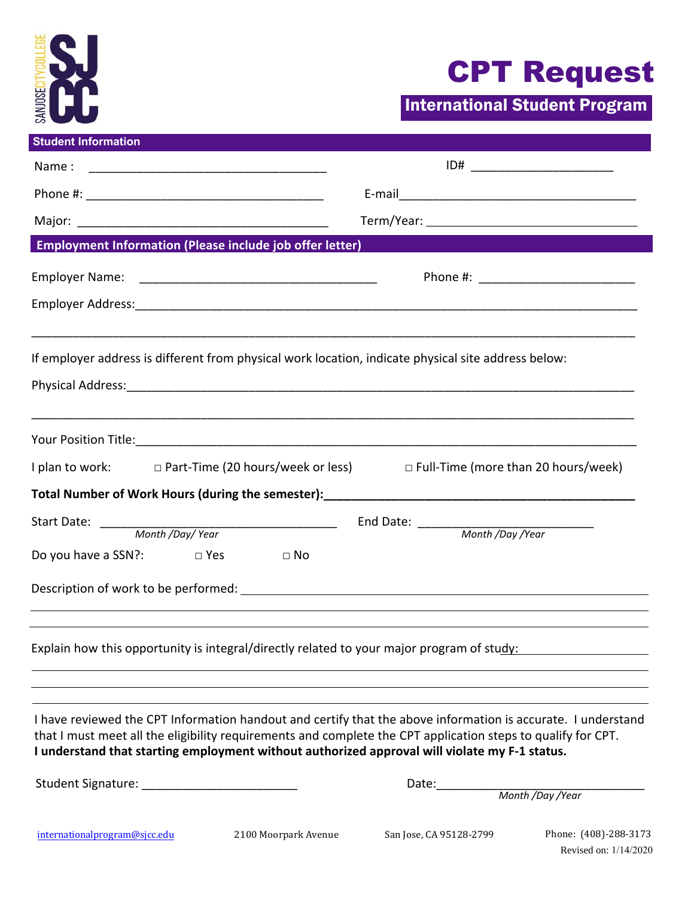

## CPT Request

Revised on: 1/14/2020

International Student Program

| <b>Student Information</b>                                      |                                                                                                                                                                                                                                                                                                                               |
|-----------------------------------------------------------------|-------------------------------------------------------------------------------------------------------------------------------------------------------------------------------------------------------------------------------------------------------------------------------------------------------------------------------|
| Name:                                                           | ID#                                                                                                                                                                                                                                                                                                                           |
|                                                                 |                                                                                                                                                                                                                                                                                                                               |
|                                                                 |                                                                                                                                                                                                                                                                                                                               |
| <b>Employment Information (Please include job offer letter)</b> |                                                                                                                                                                                                                                                                                                                               |
| <b>Employer Name:</b>                                           |                                                                                                                                                                                                                                                                                                                               |
|                                                                 |                                                                                                                                                                                                                                                                                                                               |
|                                                                 | If employer address is different from physical work location, indicate physical site address below:                                                                                                                                                                                                                           |
|                                                                 |                                                                                                                                                                                                                                                                                                                               |
|                                                                 | I plan to work: □ Part-Time (20 hours/week or less) □ Full-Time (more than 20 hours/week)                                                                                                                                                                                                                                     |
|                                                                 |                                                                                                                                                                                                                                                                                                                               |
| Start Date:<br>Month /Day/Year                                  | End Date: _______<br>Month /Day /Year                                                                                                                                                                                                                                                                                         |
| Do you have a SSN?:<br>D Yes                                    | $\Box$ No                                                                                                                                                                                                                                                                                                                     |
|                                                                 |                                                                                                                                                                                                                                                                                                                               |
|                                                                 | Explain how this opportunity is integral/directly related to your major program of study:                                                                                                                                                                                                                                     |
|                                                                 | I have reviewed the CPT Information handout and certify that the above information is accurate. I understand<br>that I must meet all the eligibility requirements and complete the CPT application steps to qualify for CPT.<br>I understand that starting employment without authorized approval will violate my F-1 status. |
|                                                                 | Date:<br>Month /Day /Year                                                                                                                                                                                                                                                                                                     |
| internationalprogram@sjcc.edu                                   | 2100 Moorpark Avenue<br>San Jose, CA 95128-2799<br>Phone: (408)-288-3173                                                                                                                                                                                                                                                      |